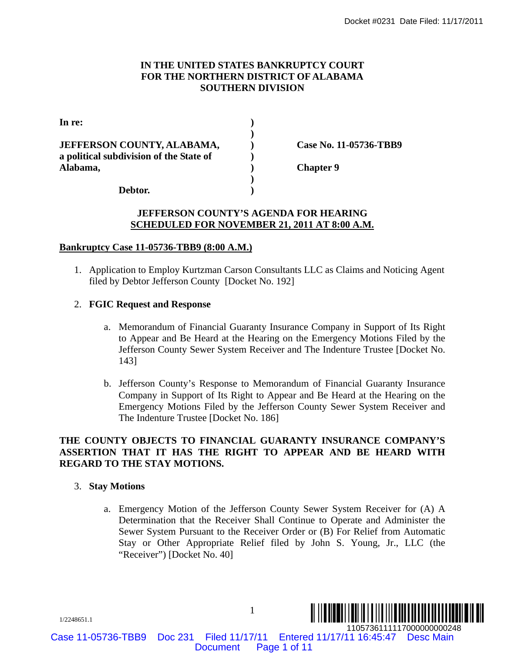# **IN THE UNITED STATES BANKRUPTCY COURT FOR THE NORTHERN DISTRICT OF ALABAMA SOUTHERN DIVISION**

|                                                                                                           | Docket #0231 Date Filed: 11/17/2011                                                                                                                                                                                                                                                                                   |  |
|-----------------------------------------------------------------------------------------------------------|-----------------------------------------------------------------------------------------------------------------------------------------------------------------------------------------------------------------------------------------------------------------------------------------------------------------------|--|
| IN THE UNITED STATES BANKRUPTCY COURT<br>FOR THE NORTHERN DISTRICT OF ALABAMA<br><b>SOUTHERN DIVISION</b> |                                                                                                                                                                                                                                                                                                                       |  |
| In re:                                                                                                    |                                                                                                                                                                                                                                                                                                                       |  |
| JEFFERSON COUNTY, ALABAMA,<br>a political subdivision of the State of<br>Alabama,                         | Case No. 11-05736-TBB9<br><b>Chapter 9</b>                                                                                                                                                                                                                                                                            |  |
| Debtor.                                                                                                   | <b>JEFFERSON COUNTY'S AGENDA FOR HEARING</b><br><b>SCHEDULED FOR NOVEMBER 21, 2011 AT 8:00 A.M.</b>                                                                                                                                                                                                                   |  |
| <b>Bankruptcy Case 11-05736-TBB9 (8:00 A.M.)</b>                                                          |                                                                                                                                                                                                                                                                                                                       |  |
| filed by Debtor Jefferson County [Docket No. 192]                                                         | 1. Application to Employ Kurtzman Carson Consultants LLC as Claims and Noticing Agent                                                                                                                                                                                                                                 |  |
| 2. FGIC Request and Response                                                                              |                                                                                                                                                                                                                                                                                                                       |  |
| a.<br>143]                                                                                                | Memorandum of Financial Guaranty Insurance Company in Support of Its Right<br>to Appear and Be Heard at the Hearing on the Emergency Motions Filed by the<br>Jefferson County Sewer System Receiver and The Indenture Trustee [Docket No.                                                                             |  |
| $b_{\cdot}$<br>The Indenture Trustee [Docket No. 186]                                                     | Jefferson County's Response to Memorandum of Financial Guaranty Insurance<br>Company in Support of Its Right to Appear and Be Heard at the Hearing on the<br>Emergency Motions Filed by the Jefferson County Sewer System Receiver and                                                                                |  |
| <b>REGARD TO THE STAY MOTIONS.</b>                                                                        | THE COUNTY OBJECTS TO FINANCIAL GUARANTY INSURANCE COMPANY'S<br>ASSERTION THAT IT HAS THE RIGHT TO APPEAR AND BE HEARD WITH                                                                                                                                                                                           |  |
| <b>Stay Motions</b><br>3.                                                                                 |                                                                                                                                                                                                                                                                                                                       |  |
| "Receiver") [Docket No. 40]                                                                               | a. Emergency Motion of the Jefferson County Sewer System Receiver for (A) A<br>Determination that the Receiver Shall Continue to Operate and Administer the<br>Sewer System Pursuant to the Receiver Order or (B) For Relief from Automatic<br>Stay or Other Appropriate Relief filed by John S. Young, Jr., LLC (the |  |
| 1/2248651.1                                                                                               | $\mathbf{1}$                                                                                                                                                                                                                                                                                                          |  |
| <b>Doc 231</b><br>Filed 11/17/11<br>ase 11-05736-TBB9<br><b>Document</b>                                  | 1105736111117000000000248<br>Entered 11/17/11 16:45:47 Desc Main<br>Page 1 of 11                                                                                                                                                                                                                                      |  |

#### **JEFFERSON COUNTY'S AGENDA FOR HEARING SCHEDULED FOR NOVEMBER 21, 2011 AT 8:00 A.M.**

# **Bankruptcy Case 11-05736-TBB9 (8:00 A.M.)**

# 2. **FGIC Request and Response**

- a. Memorandum of Financial Guaranty Insurance Company in Support of Its Right to Appear and Be Heard at the Hearing on the Emergency Motions Filed by the Jefferson County Sewer System Receiver and The Indenture Trustee [Docket No. 143]
- b. Jefferson County's Response to Memorandum of Financial Guaranty Insurance Company in Support of Its Right to Appear and Be Heard at the Hearing on the Emergency Motions Filed by the Jefferson County Sewer System Receiver and The Indenture Trustee [Docket No. 186]

# **THE COUNTY OBJECTS TO FINANCIAL GUARANTY INSURANCE COMPANY'S ASSERTION THAT IT HAS THE RIGHT TO APPEAR AND BE HEARD WITH REGARD TO THE STAY MOTIONS.**

#### 3. **Stay Motions**

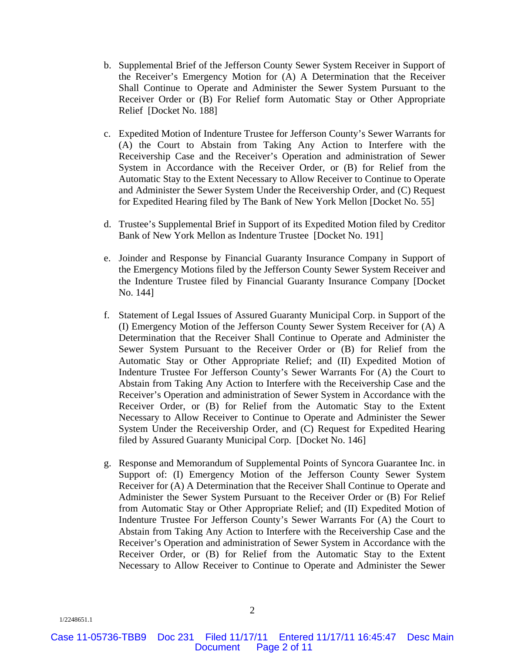- b. Supplemental Brief of the Jefferson County Sewer System Receiver in Support of the Receiver's Emergency Motion for (A) A Determination that the Receiver Shall Continue to Operate and Administer the Sewer System Pursuant to the Receiver Order or (B) For Relief form Automatic Stay or Other Appropriate Relief [Docket No. 188]
- c. Expedited Motion of Indenture Trustee for Jefferson County's Sewer Warrants for (A) the Court to Abstain from Taking Any Action to Interfere with the Receivership Case and the Receiver's Operation and administration of Sewer System in Accordance with the Receiver Order, or (B) for Relief from the Automatic Stay to the Extent Necessary to Allow Receiver to Continue to Operate and Administer the Sewer System Under the Receivership Order, and (C) Request for Expedited Hearing filed by The Bank of New York Mellon [Docket No. 55]
- d. Trustee's Supplemental Brief in Support of its Expedited Motion filed by Creditor Bank of New York Mellon as Indenture Trustee [Docket No. 191]
- e. Joinder and Response by Financial Guaranty Insurance Company in Support of the Emergency Motions filed by the Jefferson County Sewer System Receiver and the Indenture Trustee filed by Financial Guaranty Insurance Company [Docket No. 144]
- f. Statement of Legal Issues of Assured Guaranty Municipal Corp. in Support of the (I) Emergency Motion of the Jefferson County Sewer System Receiver for (A) A Determination that the Receiver Shall Continue to Operate and Administer the Sewer System Pursuant to the Receiver Order or (B) for Relief from the Automatic Stay or Other Appropriate Relief; and (II) Expedited Motion of Indenture Trustee For Jefferson County's Sewer Warrants For (A) the Court to Abstain from Taking Any Action to Interfere with the Receivership Case and the Receiver's Operation and administration of Sewer System in Accordance with the Receiver Order, or (B) for Relief from the Automatic Stay to the Extent Necessary to Allow Receiver to Continue to Operate and Administer the Sewer System Under the Receivership Order, and (C) Request for Expedited Hearing filed by Assured Guaranty Municipal Corp. [Docket No. 146]
- g. Response and Memorandum of Supplemental Points of Syncora Guarantee Inc. in Support of: (I) Emergency Motion of the Jefferson County Sewer System Receiver for (A) A Determination that the Receiver Shall Continue to Operate and Administer the Sewer System Pursuant to the Receiver Order or (B) For Relief from Automatic Stay or Other Appropriate Relief; and (II) Expedited Motion of Indenture Trustee For Jefferson County's Sewer Warrants For (A) the Court to Abstain from Taking Any Action to Interfere with the Receivership Case and the Receiver's Operation and administration of Sewer System in Accordance with the Receiver Order, or (B) for Relief from the Automatic Stay to the Extent Necessary to Allow Receiver to Continue to Operate and Administer the Sewer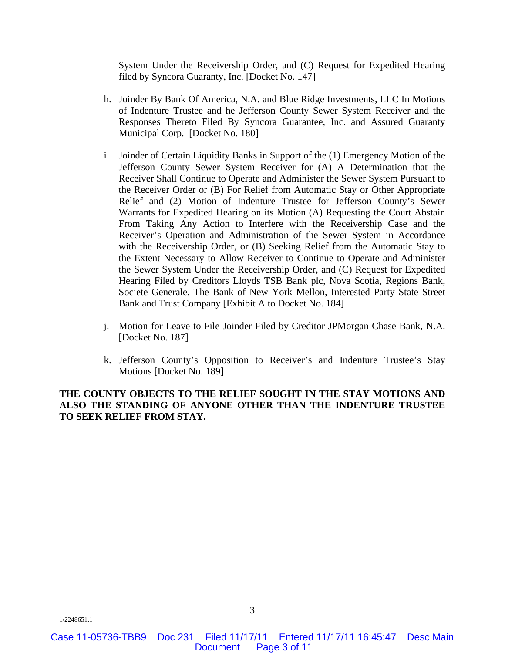System Under the Receivership Order, and (C) Request for Expedited Hearing filed by Syncora Guaranty, Inc. [Docket No. 147]

- h. Joinder By Bank Of America, N.A. and Blue Ridge Investments, LLC In Motions of Indenture Trustee and he Jefferson County Sewer System Receiver and the Responses Thereto Filed By Syncora Guarantee, Inc. and Assured Guaranty Municipal Corp. [Docket No. 180]
- i. Joinder of Certain Liquidity Banks in Support of the (1) Emergency Motion of the Jefferson County Sewer System Receiver for (A) A Determination that the Receiver Shall Continue to Operate and Administer the Sewer System Pursuant to the Receiver Order or (B) For Relief from Automatic Stay or Other Appropriate Relief and (2) Motion of Indenture Trustee for Jefferson County's Sewer Warrants for Expedited Hearing on its Motion (A) Requesting the Court Abstain From Taking Any Action to Interfere with the Receivership Case and the Receiver's Operation and Administration of the Sewer System in Accordance with the Receivership Order, or (B) Seeking Relief from the Automatic Stay to the Extent Necessary to Allow Receiver to Continue to Operate and Administer the Sewer System Under the Receivership Order, and (C) Request for Expedited Hearing Filed by Creditors Lloyds TSB Bank plc, Nova Scotia, Regions Bank, Societe Generale, The Bank of New York Mellon, Interested Party State Street Bank and Trust Company [Exhibit A to Docket No. 184]
- j. Motion for Leave to File Joinder Filed by Creditor JPMorgan Chase Bank, N.A. [Docket No. 187]
- k. Jefferson County's Opposition to Receiver's and Indenture Trustee's Stay Motions [Docket No. 189]

## **THE COUNTY OBJECTS TO THE RELIEF SOUGHT IN THE STAY MOTIONS AND ALSO THE STANDING OF ANYONE OTHER THAN THE INDENTURE TRUSTEE TO SEEK RELIEF FROM STAY.**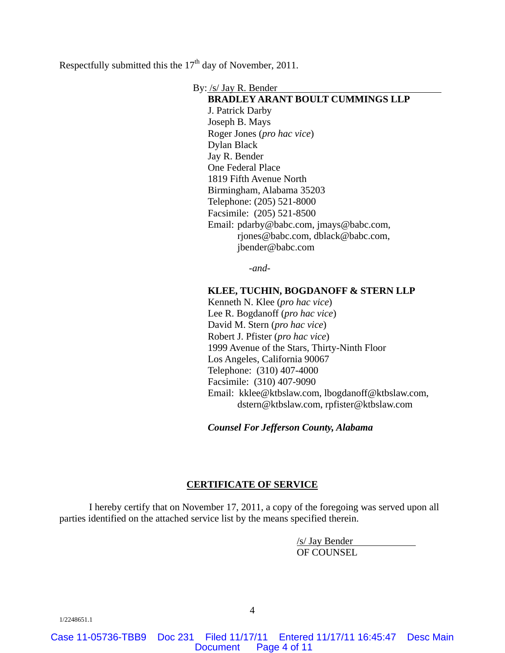Respectfully submitted this the  $17<sup>th</sup>$  day of November, 2011.

By: /s/ Jay R. Bender

**BRADLEY ARANT BOULT CUMMINGS LLP**  J. Patrick Darby Joseph B. Mays Roger Jones (*pro hac vice*) Dylan Black Jay R. Bender One Federal Place 1819 Fifth Avenue North Birmingham, Alabama 35203 Telephone: (205) 521-8000 Facsimile: (205) 521-8500 Email: pdarby@babc.com, jmays@babc.com, rjones@babc.com, dblack@babc.com, jbender@babc.com

-*and*-

#### **KLEE, TUCHIN, BOGDANOFF & STERN LLP**

Kenneth N. Klee (*pro hac vice*) Lee R. Bogdanoff (*pro hac vice*) David M. Stern (*pro hac vice*) Robert J. Pfister (*pro hac vice*) 1999 Avenue of the Stars, Thirty-Ninth Floor Los Angeles, California 90067 Telephone: (310) 407-4000 Facsimile: (310) 407-9090 Email: kklee@ktbslaw.com, lbogdanoff@ktbslaw.com, dstern@ktbslaw.com, rpfister@ktbslaw.com

*Counsel For Jefferson County, Alabama*

#### **CERTIFICATE OF SERVICE**

I hereby certify that on November 17, 2011, a copy of the foregoing was served upon all parties identified on the attached service list by the means specified therein.

> /s/ Jay Bender OF COUNSEL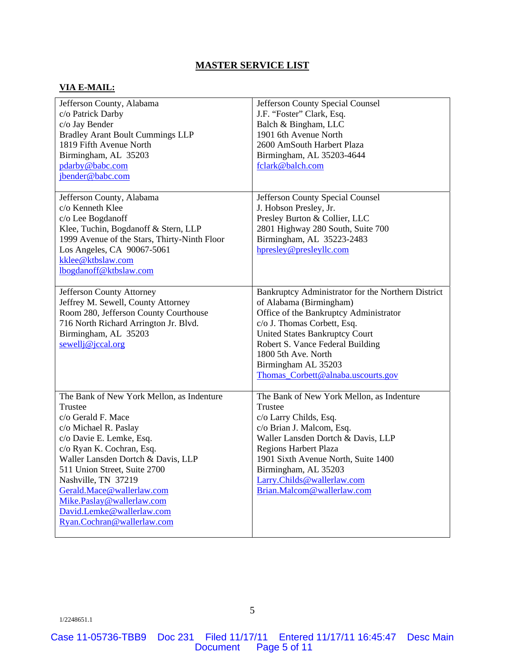# **MASTER SERVICE LIST**

#### **VIA E-MAIL:**

| Jefferson County, Alabama                    | <b>Jefferson County Special Counsel</b>            |
|----------------------------------------------|----------------------------------------------------|
| c/o Patrick Darby                            | J.F. "Foster" Clark, Esq.                          |
| c/o Jay Bender                               | Balch & Bingham, LLC                               |
| <b>Bradley Arant Boult Cummings LLP</b>      | 1901 6th Avenue North                              |
| 1819 Fifth Avenue North                      | 2600 AmSouth Harbert Plaza                         |
| Birmingham, AL 35203                         | Birmingham, AL 35203-4644                          |
| pdarby@babc.com                              | fclark@balch.com                                   |
| jbender@babc.com                             |                                                    |
|                                              |                                                    |
| Jefferson County, Alabama                    | Jefferson County Special Counsel                   |
| c/o Kenneth Klee                             | J. Hobson Presley, Jr.                             |
| c/o Lee Bogdanoff                            | Presley Burton & Collier, LLC                      |
| Klee, Tuchin, Bogdanoff & Stern, LLP         | 2801 Highway 280 South, Suite 700                  |
| 1999 Avenue of the Stars, Thirty-Ninth Floor | Birmingham, AL 35223-2483                          |
| Los Angeles, CA 90067-5061                   | hpresley@presleyllc.com                            |
| kklee@ktbslaw.com                            |                                                    |
| lbogdanoff@ktbslaw.com                       |                                                    |
|                                              |                                                    |
| Jefferson County Attorney                    | Bankruptcy Administrator for the Northern District |
| Jeffrey M. Sewell, County Attorney           | of Alabama (Birmingham)                            |
| Room 280, Jefferson County Courthouse        | Office of the Bankruptcy Administrator             |
| 716 North Richard Arrington Jr. Blvd.        | c/o J. Thomas Corbett, Esq.                        |
| Birmingham, AL 35203                         | <b>United States Bankruptcy Court</b>              |
| $sewell$ j $@$ jccal.org                     | Robert S. Vance Federal Building                   |
|                                              | 1800 5th Ave. North                                |
|                                              | Birmingham AL 35203                                |
|                                              | Thomas_Corbett@alnaba.uscourts.gov                 |
|                                              |                                                    |
| The Bank of New York Mellon, as Indenture    | The Bank of New York Mellon, as Indenture          |
| Trustee                                      | Trustee                                            |
| c/o Gerald F. Mace                           | c/o Larry Childs, Esq.                             |
| c/o Michael R. Paslay                        | c/o Brian J. Malcom, Esq.                          |
| c/o Davie E. Lemke, Esq.                     | Waller Lansden Dortch & Davis, LLP                 |
| c/o Ryan K. Cochran, Esq.                    | Regions Harbert Plaza                              |
| Waller Lansden Dortch & Davis, LLP           | 1901 Sixth Avenue North, Suite 1400                |
| 511 Union Street, Suite 2700                 | Birmingham, AL 35203                               |
| Nashville, TN 37219                          | Larry.Childs@wallerlaw.com                         |
| Gerald.Mace@wallerlaw.com                    | Brian.Malcom@wallerlaw.com                         |
| Mike.Paslay@wallerlaw.com                    |                                                    |
| David.Lemke@wallerlaw.com                    |                                                    |
| Ryan.Cochran@wallerlaw.com                   |                                                    |
|                                              |                                                    |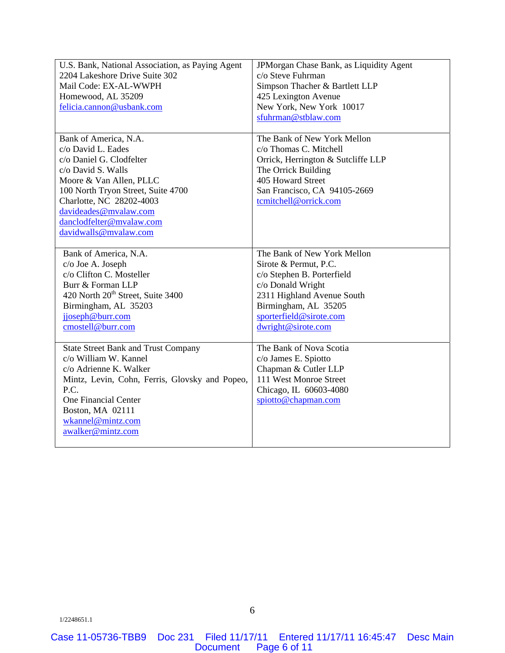| U.S. Bank, National Association, as Paying Agent<br>2204 Lakeshore Drive Suite 302 | JPMorgan Chase Bank, as Liquidity Agent<br>c/o Steve Fuhrman |
|------------------------------------------------------------------------------------|--------------------------------------------------------------|
| Mail Code: EX-AL-WWPH                                                              | Simpson Thacher & Bartlett LLP                               |
| Homewood, AL 35209                                                                 | 425 Lexington Avenue                                         |
| felicia.cannon@usbank.com                                                          | New York, New York 10017                                     |
|                                                                                    | sfuhrman@stblaw.com                                          |
|                                                                                    |                                                              |
| Bank of America, N.A.                                                              | The Bank of New York Mellon                                  |
| c/o David L. Eades                                                                 | c/o Thomas C. Mitchell                                       |
| c/o Daniel G. Clodfelter                                                           | Orrick, Herrington & Sutcliffe LLP                           |
| c/o David S. Walls                                                                 | The Orrick Building                                          |
| Moore & Van Allen, PLLC                                                            | 405 Howard Street                                            |
| 100 North Tryon Street, Suite 4700                                                 | San Francisco, CA 94105-2669                                 |
| Charlotte, NC 28202-4003                                                           | tcmitchell@orrick.com                                        |
| davideades@mvalaw.com                                                              |                                                              |
| danclodfelter@mvalaw.com                                                           |                                                              |
| davidwalls@mvalaw.com                                                              |                                                              |
|                                                                                    |                                                              |
| Bank of America, N.A.                                                              | The Bank of New York Mellon                                  |
| c/o Joe A. Joseph                                                                  | Sirote & Permut, P.C.                                        |
| c/o Clifton C. Mosteller                                                           | c/o Stephen B. Porterfield                                   |
| Burr & Forman LLP                                                                  | c/o Donald Wright                                            |
| 420 North 20 <sup>th</sup> Street, Suite 3400                                      | 2311 Highland Avenue South                                   |
| Birmingham, AL 35203                                                               | Birmingham, AL 35205                                         |
| jjoseph@burr.com                                                                   | sporterfield@sirote.com                                      |
| cmostell@burr.com                                                                  | dwright@sirote.com                                           |
|                                                                                    |                                                              |
| <b>State Street Bank and Trust Company</b>                                         | The Bank of Nova Scotia                                      |
| c/o William W. Kannel                                                              | c/o James E. Spiotto                                         |
| c/o Adrienne K. Walker                                                             | Chapman & Cutler LLP                                         |
| Mintz, Levin, Cohn, Ferris, Glovsky and Popeo,                                     | 111 West Monroe Street                                       |
| P.C.                                                                               | Chicago, IL 60603-4080                                       |
| <b>One Financial Center</b>                                                        | spiotto@chapman.com                                          |
| Boston, MA 02111                                                                   |                                                              |
| wkannel@mintz.com                                                                  |                                                              |
| awalker@mintz.com                                                                  |                                                              |
|                                                                                    |                                                              |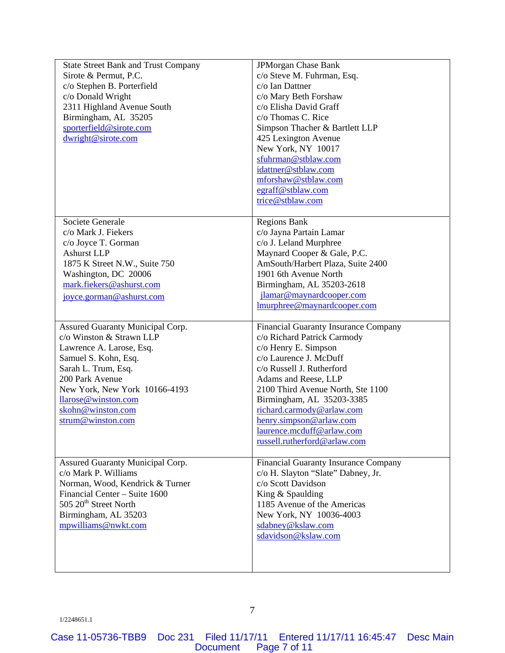| <b>State Street Bank and Trust Company</b><br>Sirote & Permut, P.C.<br>c/o Stephen B. Porterfield<br>c/o Donald Wright<br>2311 Highland Avenue South<br>Birmingham, AL 35205<br>sporterfield@sirote.com<br>dwright@sirote.com                                | JPMorgan Chase Bank<br>c/o Steve M. Fuhrman, Esq.<br>c/o Ian Dattner<br>c/o Mary Beth Forshaw<br>c/o Elisha David Graff<br>c/o Thomas C. Rice<br>Simpson Thacher & Bartlett LLP<br>425 Lexington Avenue<br>New York, NY 10017<br>sfuhrman@stblaw.com                                                                                                                            |
|--------------------------------------------------------------------------------------------------------------------------------------------------------------------------------------------------------------------------------------------------------------|---------------------------------------------------------------------------------------------------------------------------------------------------------------------------------------------------------------------------------------------------------------------------------------------------------------------------------------------------------------------------------|
|                                                                                                                                                                                                                                                              | idattner@stblaw.com<br>mforshaw@stblaw.com<br>egraff@stblaw.com<br>trice@stblaw.com                                                                                                                                                                                                                                                                                             |
| Societe Generale<br>c/o Mark J. Fiekers<br>c/o Joyce T. Gorman<br><b>Ashurst LLP</b><br>1875 K Street N.W., Suite 750<br>Washington, DC 20006<br>mark.fiekers@ashurst.com<br>joyce.gorman@ashurst.com                                                        | <b>Regions Bank</b><br>c/o Jayna Partain Lamar<br>c/o J. Leland Murphree<br>Maynard Cooper & Gale, P.C.<br>AmSouth/Harbert Plaza, Suite 2400<br>1901 6th Avenue North<br>Birmingham, AL 35203-2618<br>jlamar@maynardcooper.com<br>Imurphree@maynardcooper.com                                                                                                                   |
| Assured Guaranty Municipal Corp.<br>c/o Winston & Strawn LLP<br>Lawrence A. Larose, Esq.<br>Samuel S. Kohn, Esq.<br>Sarah L. Trum, Esq.<br>200 Park Avenue<br>New York, New York 10166-4193<br>llarose@winston.com<br>skohn@winston.com<br>strum@winston.com | <b>Financial Guaranty Insurance Company</b><br>c/o Richard Patrick Carmody<br>c/o Henry E. Simpson<br>c/o Laurence J. McDuff<br>c/o Russell J. Rutherford<br>Adams and Reese, LLP<br>2100 Third Avenue North, Ste 1100<br>Birmingham, AL 35203-3385<br>richard.carmody@arlaw.com<br>henry.simpson@arlaw.com<br><u>laurence.mcduff@arlaw.com</u><br>russell.rutherford@arlaw.com |
| Assured Guaranty Municipal Corp.<br>c/o Mark P. Williams<br>Norman, Wood, Kendrick & Turner<br>Financial Center - Suite 1600<br>505 20 <sup>th</sup> Street North<br>Birmingham, AL 35203<br>mpwilliams@nwkt.com                                             | Financial Guaranty Insurance Company<br>c/o H. Slayton "Slate" Dabney, Jr.<br>c/o Scott Davidson<br>King & Spaulding<br>1185 Avenue of the Americas<br>New York, NY 10036-4003<br>sdabney@kslaw.com<br>sdavidson@kslaw.com                                                                                                                                                      |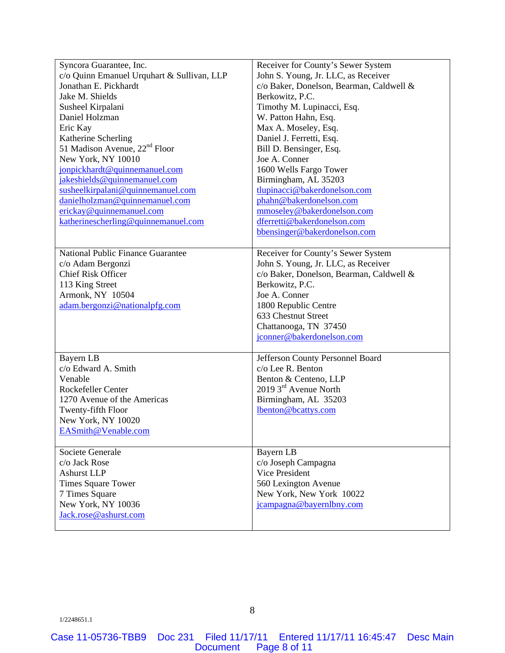| Syncora Guarantee, Inc.                    | Receiver for County's Sewer System       |
|--------------------------------------------|------------------------------------------|
| c/o Quinn Emanuel Urquhart & Sullivan, LLP | John S. Young, Jr. LLC, as Receiver      |
| Jonathan E. Pickhardt                      | c/o Baker, Donelson, Bearman, Caldwell & |
| Jake M. Shields                            | Berkowitz, P.C.                          |
| Susheel Kirpalani                          | Timothy M. Lupinacci, Esq.               |
| Daniel Holzman                             | W. Patton Hahn, Esq.                     |
| Eric Kay                                   | Max A. Moseley, Esq.                     |
| Katherine Scherling                        | Daniel J. Ferretti, Esq.                 |
| 51 Madison Avenue, 22 <sup>nd</sup> Floor  | Bill D. Bensinger, Esq.                  |
| New York, NY 10010                         | Joe A. Conner                            |
| jonpickhardt@quinnemanuel.com              | 1600 Wells Fargo Tower                   |
| jakeshields@quinnemanuel.com               | Birmingham, AL 35203                     |
| susheelkirpalani@quinnemanuel.com          | tlupinacci@bakerdonelson.com             |
| danielholzman@quinnemanuel.com             | phahn@bakerdonelson.com                  |
| erickay@quinnemanuel.com                   | mmoseley@bakerdonelson.com               |
| katherinescherling@quinnemanuel.com        | dferretti@bakerdonelson.com              |
|                                            | bbensinger@bakerdonelson.com             |
|                                            |                                          |
| National Public Finance Guarantee          | Receiver for County's Sewer System       |
| c/o Adam Bergonzi                          | John S. Young, Jr. LLC, as Receiver      |
| <b>Chief Risk Officer</b>                  | c/o Baker, Donelson, Bearman, Caldwell & |
| 113 King Street                            | Berkowitz, P.C.                          |
| Armonk, NY 10504                           | Joe A. Conner                            |
| adam.bergonzi@nationalpfg.com              | 1800 Republic Centre                     |
|                                            | 633 Chestnut Street                      |
|                                            | Chattanooga, TN 37450                    |
|                                            | jconner@bakerdonelson.com                |
|                                            |                                          |
| Bayern LB                                  | Jefferson County Personnel Board         |
| c/o Edward A. Smith                        | c/o Lee R. Benton                        |
| Venable                                    | Benton & Centeno, LLP                    |
| Rockefeller Center                         | 2019 3rd Avenue North                    |
| 1270 Avenue of the Americas                | Birmingham, AL 35203                     |
| Twenty-fifth Floor                         | lbenton@bcattys.com                      |
| New York, NY 10020                         |                                          |
| EASmith@Venable.com                        |                                          |
|                                            |                                          |
| Societe Generale                           | Bayern LB                                |
| c/o Jack Rose                              | c/o Joseph Campagna                      |
| <b>Ashurst LLP</b>                         | Vice President                           |
| <b>Times Square Tower</b>                  | 560 Lexington Avenue                     |
| 7 Times Square                             | New York, New York 10022                 |
| New York, NY 10036                         | jcampagna@bayernlbny.com                 |
| Jack.rose@ashurst.com                      |                                          |
|                                            |                                          |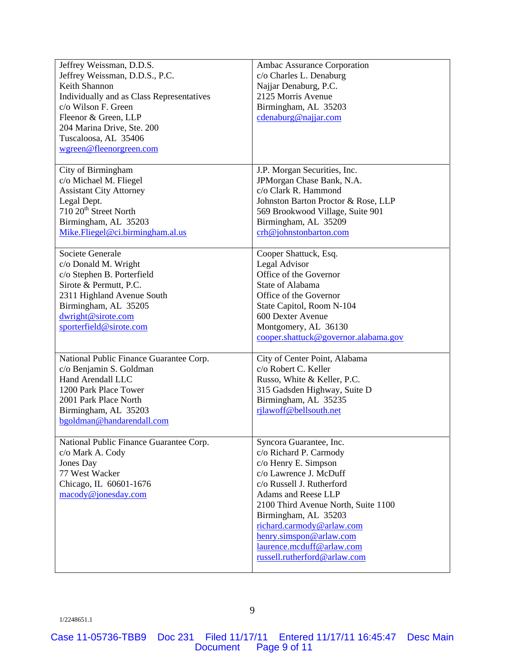| Jeffrey Weissman, D.D.S.                  | Ambac Assurance Corporation          |
|-------------------------------------------|--------------------------------------|
| Jeffrey Weissman, D.D.S., P.C.            | c/o Charles L. Denaburg              |
| Keith Shannon                             | Najjar Denaburg, P.C.                |
| Individually and as Class Representatives | 2125 Morris Avenue                   |
| c/o Wilson F. Green                       | Birmingham, AL 35203                 |
| Fleenor & Green, LLP                      | cdenaburg@najjar.com                 |
| 204 Marina Drive, Ste. 200                |                                      |
| Tuscaloosa, AL 35406                      |                                      |
| wgreen@fleenorgreen.com                   |                                      |
|                                           |                                      |
| City of Birmingham                        | J.P. Morgan Securities, Inc.         |
| c/o Michael M. Fliegel                    | JPMorgan Chase Bank, N.A.            |
| <b>Assistant City Attorney</b>            | c/o Clark R. Hammond                 |
| Legal Dept.                               | Johnston Barton Proctor & Rose, LLP  |
| 710 20 <sup>th</sup> Street North         | 569 Brookwood Village, Suite 901     |
| Birmingham, AL 35203                      | Birmingham, AL 35209                 |
| Mike.Fliegel@ci.birmingham.al.us          | crh@johnstonbarton.com               |
|                                           |                                      |
| Societe Generale                          | Cooper Shattuck, Esq.                |
| c/o Donald M. Wright                      | Legal Advisor                        |
| c/o Stephen B. Porterfield                | Office of the Governor               |
| Sirote & Permutt, P.C.                    | State of Alabama                     |
| 2311 Highland Avenue South                | Office of the Governor               |
| Birmingham, AL 35205                      | State Capitol, Room N-104            |
| dwright@sirote.com                        | 600 Dexter Avenue                    |
| sporterfield@sirote.com                   | Montgomery, AL 36130                 |
|                                           | cooper.shattuck@governor.alabama.gov |
|                                           |                                      |
| National Public Finance Guarantee Corp.   | City of Center Point, Alabama        |
| c/o Benjamin S. Goldman                   | c/o Robert C. Keller                 |
| Hand Arendall LLC                         | Russo, White & Keller, P.C.          |
| 1200 Park Place Tower                     | 315 Gadsden Highway, Suite D         |
| 2001 Park Place North                     | Birmingham, AL 35235                 |
| Birmingham, AL 35203                      | rjlawoff@bellsouth.net               |
| bgoldman@handarendall.com                 |                                      |
|                                           |                                      |
| National Public Finance Guarantee Corp.   | Syncora Guarantee, Inc.              |
| c/o Mark A. Cody                          | c/o Richard P. Carmody               |
| Jones Day                                 | c/o Henry E. Simpson                 |
| 77 West Wacker                            | c/o Lawrence J. McDuff               |
| Chicago, IL 60601-1676                    | c/o Russell J. Rutherford            |
| macody@jonesday.com                       | Adams and Reese LLP                  |
|                                           | 2100 Third Avenue North, Suite 1100  |
|                                           | Birmingham, AL 35203                 |
|                                           | richard.carmody@arlaw.com            |
|                                           | henry.simspon@arlaw.com              |
|                                           | laurence.mcduff@arlaw.com            |
|                                           | russell.rutherford@arlaw.com         |
|                                           |                                      |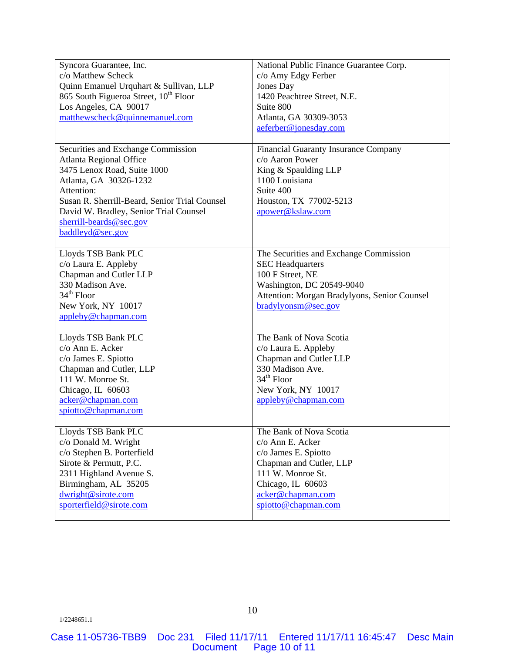| Syncora Guarantee, Inc.<br>c/o Matthew Scheck<br>Quinn Emanuel Urquhart & Sullivan, LLP<br>865 South Figueroa Street, 10 <sup>th</sup> Floor<br>Los Angeles, CA 90017<br>matthewscheck@quinnemanuel.com                                                                                                          | National Public Finance Guarantee Corp.<br>c/o Amy Edgy Ferber<br>Jones Day<br>1420 Peachtree Street, N.E.<br>Suite 800<br>Atlanta, GA 30309-3053                                                                               |
|------------------------------------------------------------------------------------------------------------------------------------------------------------------------------------------------------------------------------------------------------------------------------------------------------------------|---------------------------------------------------------------------------------------------------------------------------------------------------------------------------------------------------------------------------------|
| Securities and Exchange Commission<br><b>Atlanta Regional Office</b><br>3475 Lenox Road, Suite 1000<br>Atlanta, GA 30326-1232<br>Attention:<br>Susan R. Sherrill-Beard, Senior Trial Counsel<br>David W. Bradley, Senior Trial Counsel<br>sherrill-beards $@$ sec.gov<br>baddleyd@sec.gov<br>Lloyds TSB Bank PLC | aeferber@jonesday.com<br>Financial Guaranty Insurance Company<br>c/o Aaron Power<br>King & Spaulding LLP<br>1100 Louisiana<br>Suite 400<br>Houston, TX 77002-5213<br>apower@kslaw.com<br>The Securities and Exchange Commission |
| c/o Laura E. Appleby<br>Chapman and Cutler LLP<br>330 Madison Ave.<br>$34th$ Floor<br>New York, NY 10017<br>appleby@chapman.com                                                                                                                                                                                  | <b>SEC Headquarters</b><br>100 F Street, NE<br>Washington, DC 20549-9040<br>Attention: Morgan Bradylyons, Senior Counsel<br>bradylyonsm@sec.gov                                                                                 |
| Lloyds TSB Bank PLC<br>c/o Ann E. Acker<br>c/o James E. Spiotto<br>Chapman and Cutler, LLP<br>111 W. Monroe St.<br>Chicago, IL 60603<br>acker@chapman.com<br>spiotto@chapman.com                                                                                                                                 | The Bank of Nova Scotia<br>c/o Laura E. Appleby<br>Chapman and Cutler LLP<br>330 Madison Ave.<br>$34th$ Floor<br>New York, NY 10017<br>appleby@chapman.com                                                                      |
| Lloyds TSB Bank PLC<br>c/o Donald M. Wright<br>c/o Stephen B. Porterfield<br>Sirote & Permutt, P.C.<br>2311 Highland Avenue S.<br>Birmingham, AL 35205<br>dwright@sirote.com<br>sporterfield@sirote.com                                                                                                          | The Bank of Nova Scotia<br>c/o Ann E. Acker<br>c/o James E. Spiotto<br>Chapman and Cutler, LLP<br>111 W. Monroe St.<br>Chicago, IL 60603<br>acker@chapman.com<br>spiotto@chapman.com                                            |